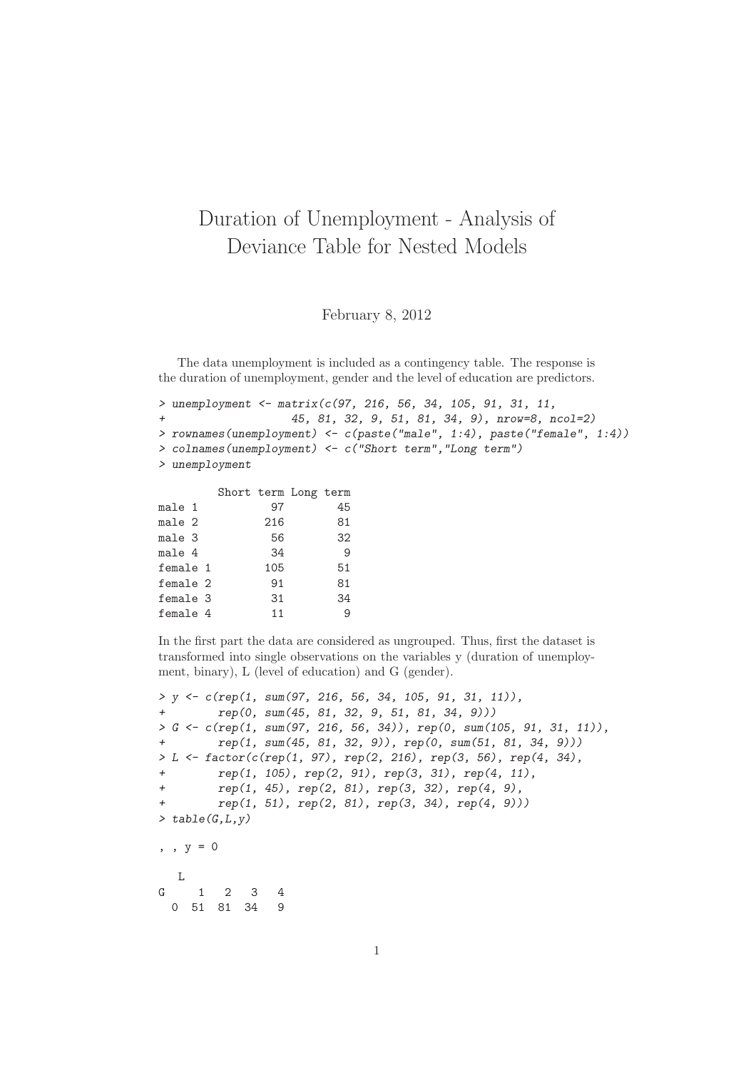## Duration of Unemployment - Analysis of Deviance Table for Nested Models

February 8, 2012

The data unemployment is included as a contingency table. The response is the duration of unemployment, gender and the level of education are predictors.

```
> unemployment <- matrix(c(97, 216, 56, 34, 105, 91, 31, 11,
                    + 45, 81, 32, 9, 51, 81, 34, 9), nrow=8, ncol=2)
> rownames(unemployment) <- c(paste("male", 1:4), paste("female", 1:4))
> colnames(unemployment) <- c("Short term","Long term")
> unemployment
```

|          | Short term Long term |     |    |
|----------|----------------------|-----|----|
| male 1   |                      | 97  | 45 |
| male 2   |                      | 216 | 81 |
| male 3   |                      | 56  | 32 |
| male 4   |                      | 34  | 9  |
| female 1 |                      | 105 | 51 |
| female 2 |                      | 91  | 81 |
| female 3 |                      | 31  | 34 |
| female 4 |                      | 11  |    |

In the first part the data are considered as ungrouped. Thus, first the dataset is transformed into single observations on the variables y (duration of unemployment, binary), L (level of education) and G (gender).

```
> y <- c(rep(1, sum(97, 216, 56, 34, 105, 91, 31, 11)),
+ rep(0, sum(45, 81, 32, 9, 51, 81, 34, 9)))
> G <- c(rep(1, sum(97, 216, 56, 34)), rep(0, sum(105, 91, 31, 11)),
+ rep(1, sum(45, 81, 32, 9)), rep(0, sum(51, 81, 34, 9)))
> L <- factor(c(rep(1, 97), rep(2, 216), rep(3, 56), rep(4, 34),
+ rep(1, 105), rep(2, 91), rep(3, 31), rep(4, 11),
+ rep(1, 45), rep(2, 81), rep(3, 32), rep(4, 9),
        + rep(1, 51), rep(2, 81), rep(3, 34), rep(4, 9)))
> table(G,L,y)
, , y = 0L
G 1 2 3 4
 0 51 81 34 9
```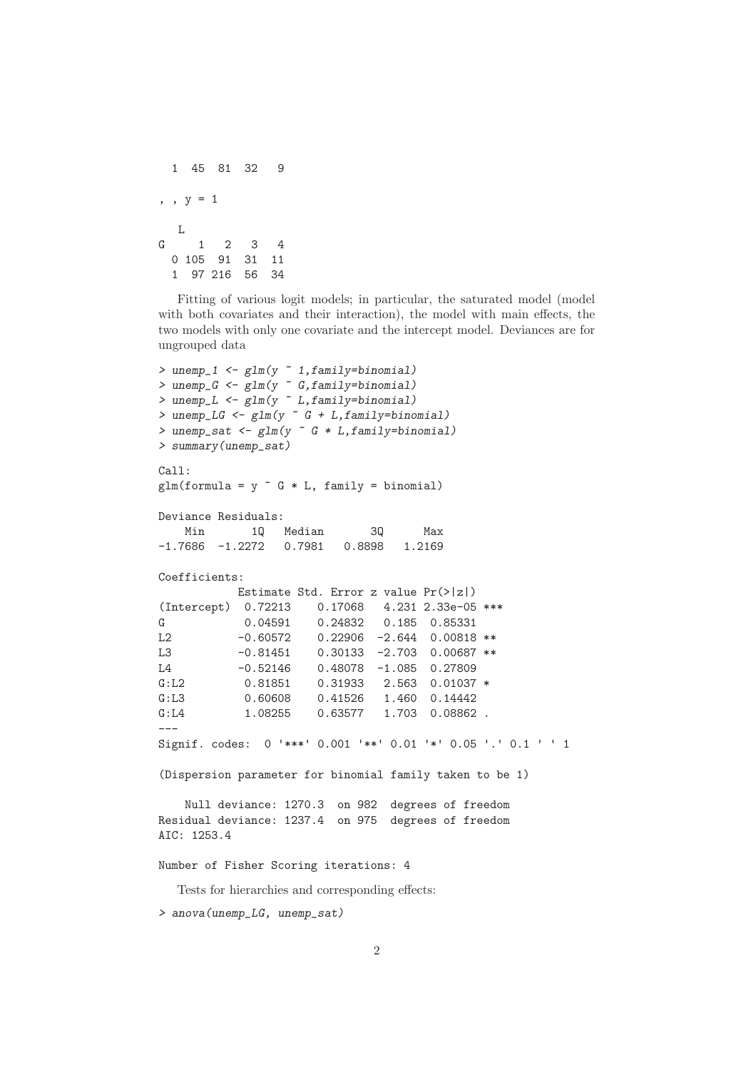```
1 45 81 32 9
, , y = 1L
G 1 2 3 4
 0 105 91 31 11
 1 97 216 56 34
```
Fitting of various logit models; in particular, the saturated model (model with both covariates and their interaction), the model with main effects, the two models with only one covariate and the intercept model. Deviances are for ungrouped data

```
> unemp_1 <- glm(y ~ 1,family=binomial)
> unemp_G <- glm(y ~ G,family=binomial)
> unemp_L <- glm(y ~ L,family=binomial)
> unemp_LG <- glm(y ~ G + L,family=binomial)
> unemp_sat <- glm(y ~ G * L,family=binomial)
> summary(unemp_sat)
Call:
glm(formula = y ~ G * L, family = binomial)
Deviance Residuals:
   Min 1Q Median 3Q Max
-1.7686 -1.2272 0.7981 0.8898 1.2169
Coefficients:
          Estimate Std. Error z value Pr(>|z|)(Intercept) 0.72213 0.17068 4.231 2.33e-05 ***
G 0.04591 0.24832 0.185 0.85331
L2 -0.60572 0.22906 -2.644 0.00818 **
L3 -0.81451 0.30133 -2.703 0.00687 **
L4 -0.52146 0.48078 -1.085 0.27809
G:L2 0.81851 0.31933 2.563 0.01037 *
G:L3 0.60608 0.41526 1.460 0.14442
G:L4 1.08255 0.63577 1.703 0.08862 .
---
Signif. codes: 0 '***' 0.001 '**' 0.01 '*' 0.05 '.' 0.1 ' ' 1
(Dispersion parameter for binomial family taken to be 1)
   Null deviance: 1270.3 on 982 degrees of freedom
Residual deviance: 1237.4 on 975 degrees of freedom
AIC: 1253.4
Number of Fisher Scoring iterations: 4
  Tests for hierarchies and corresponding effects:
> anova(unemp_LG, unemp_sat)
```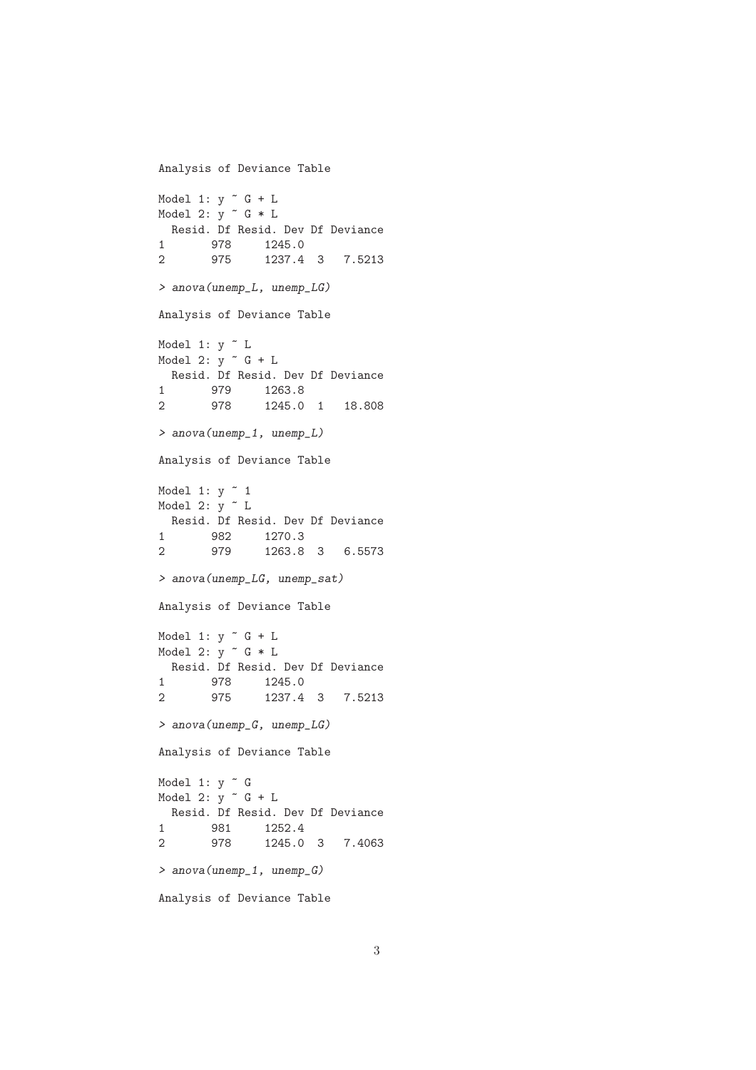```
Analysis of Deviance Table
Model 1: y \sim G + LModel 2: y \tilde{ } G * L
 Resid. Df Resid. Dev Df Deviance
1 978 1245.0
2 975 1237.4 3 7.5213
> anova(unemp_L, unemp_LG)
Analysis of Deviance Table
Model 1: y \sim LModel 2: y \uparrow G + LResid. Df Resid. Dev Df Deviance
1 979 1263.8
2 978 1245.0 1 18.808
> anova(unemp_1, unemp_L)
Analysis of Deviance Table
Model 1: y \sim 1Model 2: y \sim LResid. Df Resid. Dev Df Deviance
1 982 1270.3<br>2 979 1263.8
               2 979 1263.8 3 6.5573
> anova(unemp_LG, unemp_sat)
Analysis of Deviance Table
Model 1: y \sim G + LModel 2: y \text{ }^{\sim} G * L
 Resid. Df Resid. Dev Df Deviance
1 978 1245.0
2 975 1237.4 3 7.5213
> anova(unemp_G, unemp_LG)
Analysis of Deviance Table
Model 1: y \tilde{G}Model 2: y \sim G + LResid. Df Resid. Dev Df Deviance
1 981 1252.4<br>2 978 1245.0
2 978 1245.0 3 7.4063
> anova(unemp_1, unemp_G)
Analysis of Deviance Table
```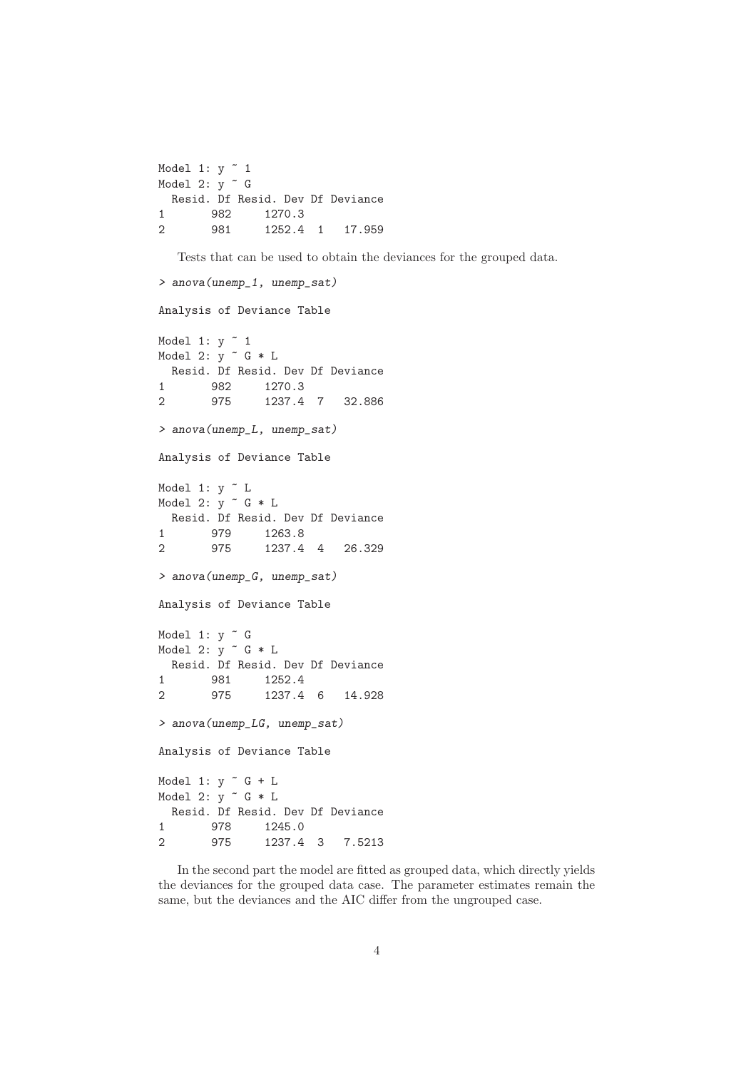```
Model 1: y \sim 1Model 2: y <sup>2</sup> G
 Resid. Df Resid. Dev Df Deviance
1 982 1270.3
2 981 1252.4 1 17.959
```
Tests that can be used to obtain the deviances for the grouped data.

```
> anova(unemp_1, unemp_sat)
Analysis of Deviance Table
Model 1: y \sim 1Model 2: \bar{y} \tilde{G} * L
 Resid. Df Resid. Dev Df Deviance
1 982 1270.3
2 975 1237.4 7 32.886
> anova(unemp_L, unemp_sat)
Analysis of Deviance Table
Model 1: y \tilde{L}Model 2: y \uparrow G * LResid. Df Resid. Dev Df Deviance
1 979 1263.8
2 975 1237.4 4 26.329
> anova(unemp_G, unemp_sat)
Analysis of Deviance Table
Model 1: v \tilde{G}Model 2: y \uparrow G * LResid. Df Resid. Dev Df Deviance
1 981 1252.4
2 975 1237.4 6 14.928
> anova(unemp_LG, unemp_sat)
Analysis of Deviance Table
Model 1: y \sim G + LModel 2: y \sim G * LResid. Df Resid. Dev Df Deviance
1 978 1245.0
2 975 1237.4 3 7.5213
```
In the second part the model are fitted as grouped data, which directly yields the deviances for the grouped data case. The parameter estimates remain the same, but the deviances and the AIC differ from the ungrouped case.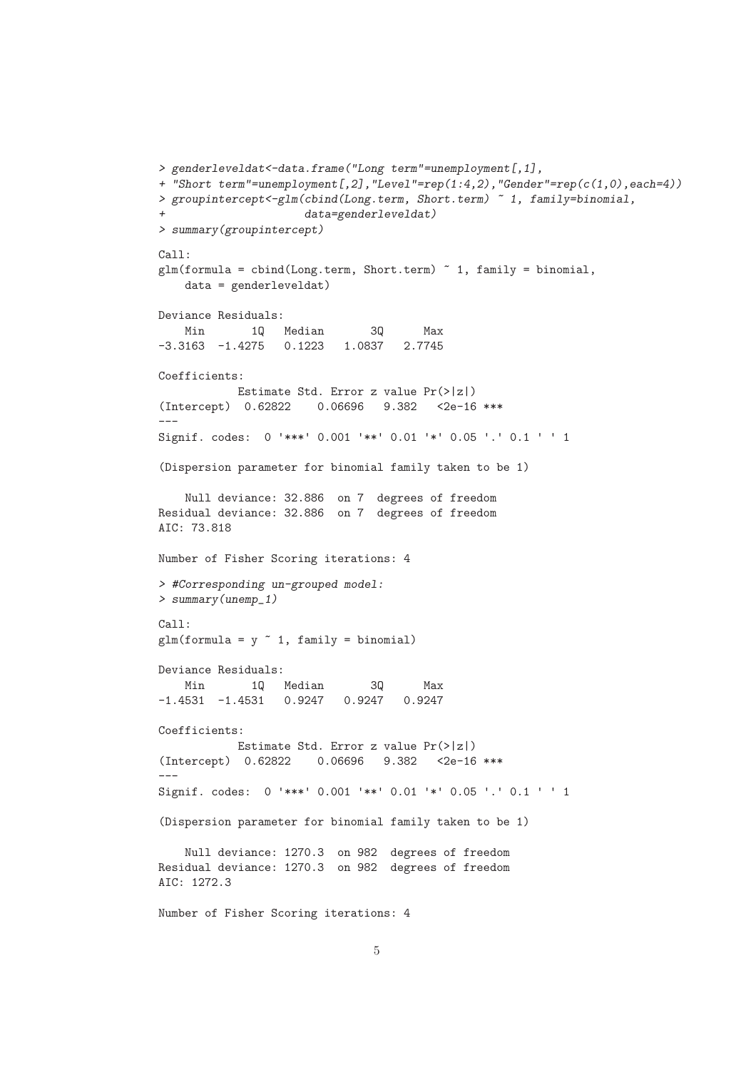```
> genderleveldat<-data.frame("Long term"=unemployment[,1],
+ "Short term"=unemployment[,2],"Level"=rep(1:4,2),"Gender"=rep(c(1,0),each=4))
> groupintercept<-glm(cbind(Long.term, Short.term) ~ 1, family=binomial,
                     + data=genderleveldat)
> summary(groupintercept)
C<sub>2</sub>11.
glm(formula = chind(Long.term, Short.term) " 1, family = binomial,data = genderleveldat)
Deviance Residuals:
   Min 1Q Median 3Q Max
-3.3163 -1.4275 0.1223 1.0837 2.7745
Coefficients:
           Estimate Std. Error z value Pr(>|z|)
(Intercept) 0.62822 0.06696 9.382 <2e-16 ***
---
Signif. codes: 0 '***' 0.001 '**' 0.01 '*' 0.05 '.' 0.1 ' ' 1
(Dispersion parameter for binomial family taken to be 1)
    Null deviance: 32.886 on 7 degrees of freedom
Residual deviance: 32.886 on 7 degrees of freedom
AIC: 73.818
Number of Fisher Scoring iterations: 4
> #Corresponding un-grouped model:
> summary(unemp_1)
Ca11:glm(formula = y \sim 1, family = binomial)Deviance Residuals:
   Min 1Q Median 3Q Max
-1.4531 -1.4531 0.9247 0.9247 0.9247
Coefficients:
          Estimate Std. Error z value Pr(>|z|)
(Intercept) 0.62822 0.06696 9.382 <2e-16 ***
---
Signif. codes: 0 '***' 0.001 '**' 0.01 '*' 0.05 '.' 0.1 ' ' 1
(Dispersion parameter for binomial family taken to be 1)
   Null deviance: 1270.3 on 982 degrees of freedom
Residual deviance: 1270.3 on 982 degrees of freedom
AIC: 1272.3
Number of Fisher Scoring iterations: 4
```

```
5
```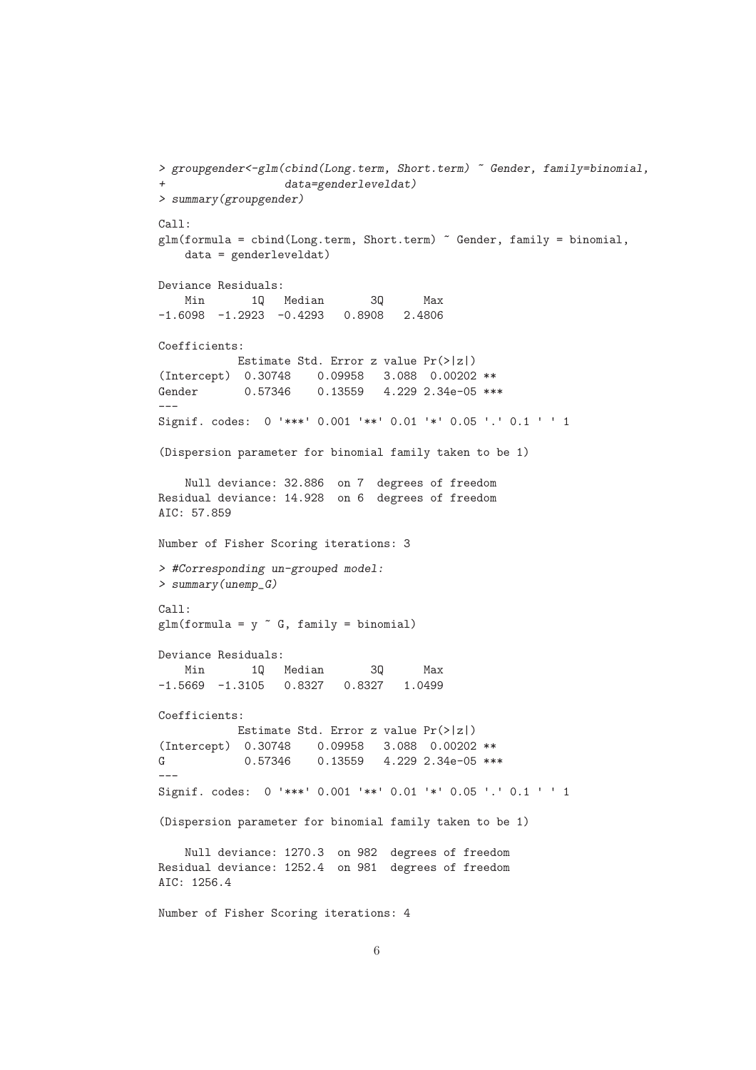```
> groupgender<-glm(cbind(Long.term, Short.term) ~ Gender, family=binomial,
      + data=genderleveldat)
> summary(groupgender)
Call:
glm(formula = chind(Long.term, Short.term) "Gender, family = binomial,
   data = genderleveldat)
Deviance Residuals:
   Min 1Q Median 3Q Max
-1.6098 -1.2923 -0.4293 0.8908 2.4806
Coefficients:
          Estimate Std. Error z value Pr(>|z|)
(Intercept) 0.30748 0.09958 3.088 0.00202 **
Gender 0.57346 0.13559 4.229 2.34e-05 ***
---Signif. codes: 0 '***' 0.001 '**' 0.01 '*' 0.05 '.' 0.1 ' ' 1
(Dispersion parameter for binomial family taken to be 1)
   Null deviance: 32.886 on 7 degrees of freedom
Residual deviance: 14.928 on 6 degrees of freedom
AIC: 57.859
Number of Fisher Scoring iterations: 3
> #Corresponding un-grouped model:
> summary(unemp_G)
Call:
glm(formula = y \text{ }^{\sim} G, fanily = binomial)Deviance Residuals:
   Min 1Q Median 3Q Max
-1.5669 -1.3105 0.8327 0.8327 1.0499
Coefficients:
          Estimate Std. Error z value Pr(>|z|)
(Intercept) 0.30748 0.09958 3.088 0.00202 **
G 0.57346 0.13559 4.229 2.34e-05 ***
---
Signif. codes: 0 '***' 0.001 '**' 0.01 '*' 0.05 '.' 0.1 ' ' 1
(Dispersion parameter for binomial family taken to be 1)
   Null deviance: 1270.3 on 982 degrees of freedom
Residual deviance: 1252.4 on 981 degrees of freedom
AIC: 1256.4
Number of Fisher Scoring iterations: 4
```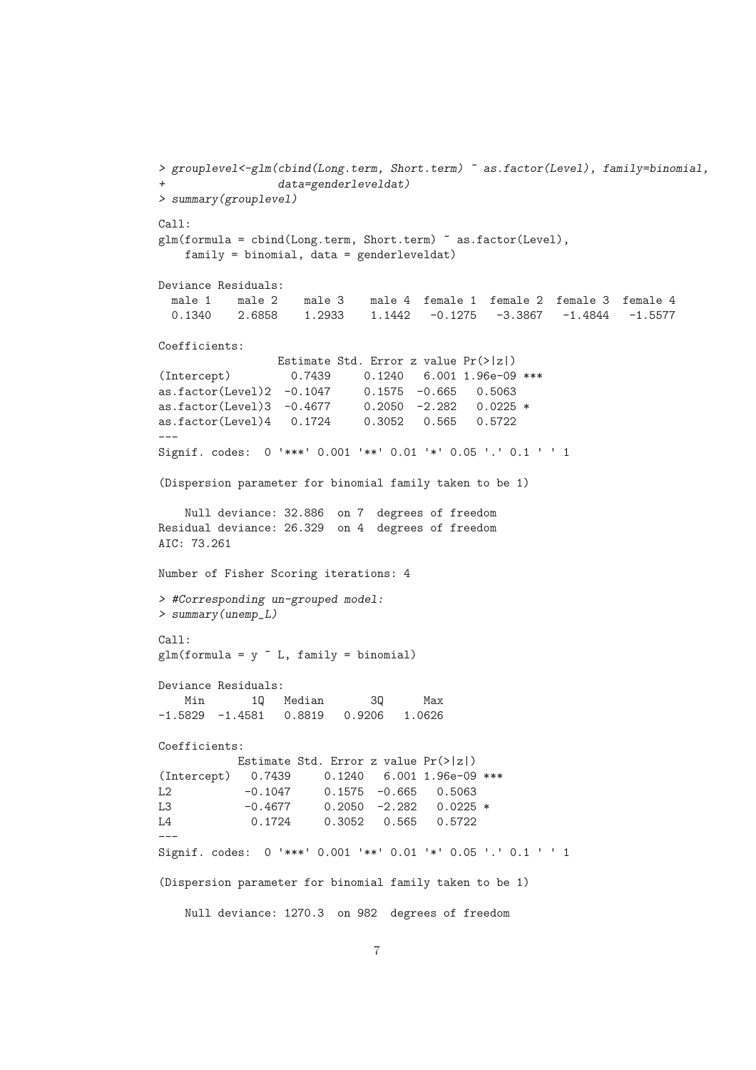```
> grouplevel<-glm(cbind(Long.term, Short.term) ~ as.factor(Level), family=binomial,
               + data=genderleveldat)
> summary(grouplevel)
Call:
glm(formula = chind(Long.term, Short.term) as.factor(Level),
   family = binomial, data = genderleveldat)
Deviance Residuals:
 male 1 male 2 male 3 male 4 female 1 female 2 female 3 female 4
 0.1340 2.6858 1.2933 1.1442 -0.1275 -3.3867 -1.4844 -1.5577
Coefficients:
                Estimate Std. Error z value Pr(>|z|)
(Intercept) 0.7439 0.1240 6.001 1.96e-09 ***<br>as.factor(Level)2 -0.1047 0.1575 -0.665 0.5063
as.factor(Level)2 -0.1047<br>as.factor(Level)3 -0.46770.2050 -2.282 0.0225*
as.factor(Level)4 0.1724 0.3052 0.565 0.5722
---
Signif. codes: 0 '***' 0.001 '**' 0.01 '*' 0.05 '.' 0.1 ' ' 1
(Dispersion parameter for binomial family taken to be 1)
    Null deviance: 32.886 on 7 degrees of freedom
Residual deviance: 26.329 on 4 degrees of freedom
AIC: 73.261
Number of Fisher Scoring iterations: 4
> #Corresponding un-grouped model:
> summary(unemp_L)
Ca11:glm(formula = y \sim L, family = binomial)Deviance Residuals:
   Min 1Q Median 3Q Max
-1.5829 -1.4581 0.8819 0.9206 1.0626
Coefficients:
           Estimate Std. Error z value Pr(>|z|)
(Intercept) 0.7439 0.1240 6.001 1.96e-09 ***
L2 -0.1047 0.1575 -0.665 0.5063
L3 -0.4677 0.2050 -2.282 0.0225 *
L4 0.1724 0.3052 0.565 0.5722
---
Signif. codes: 0 '***' 0.001 '**' 0.01 '*' 0.05 '.' 0.1 ' ' 1
(Dispersion parameter for binomial family taken to be 1)
   Null deviance: 1270.3 on 982 degrees of freedom
```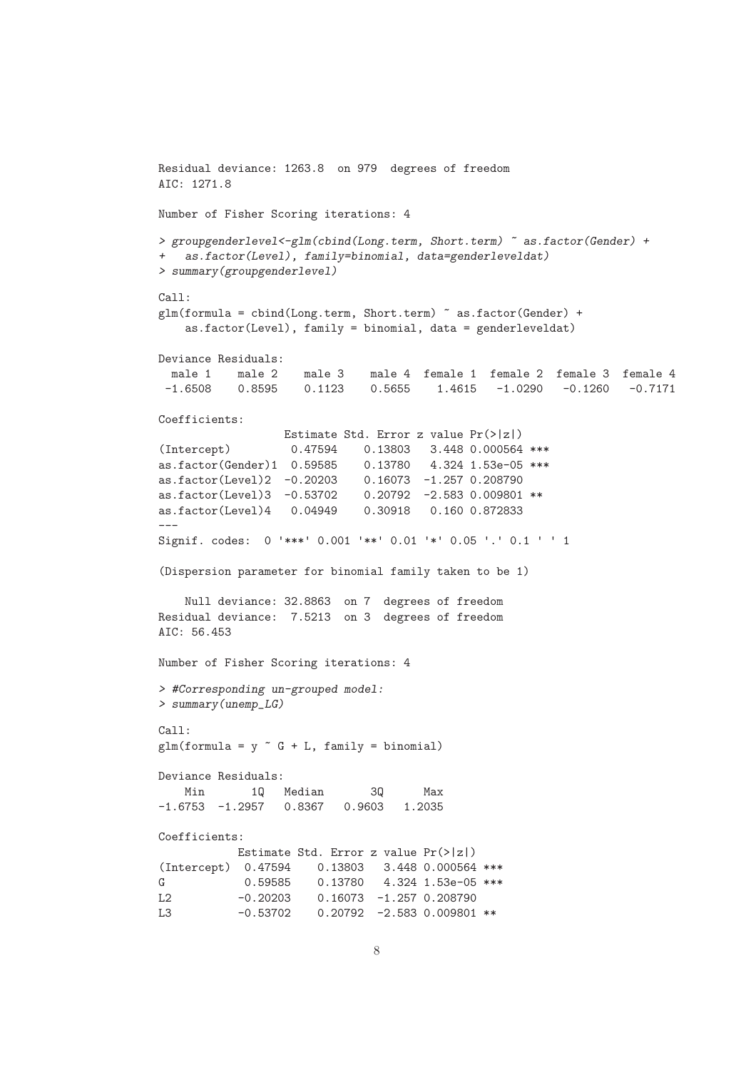```
Residual deviance: 1263.8 on 979 degrees of freedom
AIC: 1271.8
Number of Fisher Scoring iterations: 4
> groupgenderlevel<-glm(cbind(Long.term, Short.term) ~ as.factor(Gender) +
+ as.factor(Level), family=binomial, data=genderleveldat)
> summary(groupgenderlevel)
Call:
glm(formula = cbind(Long.term, Short.term) ~ as.factor(Gender) +
   as.factor(Level), family = binomial, data = genderleveldat)
Deviance Residuals:
 male 1 male 2 male 3 male 4 female 1 female 2 female 3 female 4
-1.6508 0.8595 0.1123 0.5655 1.4615 -1.0290 -0.1260 -0.7171Coefficients:
                 Estimate Std. Error z value Pr(>|z|)
(Intercept) 0.47594 0.13803 3.448 0.000564 ***
as.factor(Gender)1 0.59585 0.13780 4.324 1.53e-05 ***
as.factor(Level)2 -0.20203 0.16073 -1.257 0.208790
as.factor(Level)3 -0.53702 0.20792 -2.583 0.009801 **
as.factor(Level)4 0.04949 0.30918 0.160 0.872833
---
Signif. codes: 0 '***' 0.001 '**' 0.01 '*' 0.05 '.' 0.1 ' ' 1
(Dispersion parameter for binomial family taken to be 1)
   Null deviance: 32.8863 on 7 degrees of freedom
Residual deviance: 7.5213 on 3 degrees of freedom
AIC: 56.453
Number of Fisher Scoring iterations: 4
> #Corresponding un-grouped model:
> summary(unemp_LG)
Call:
glm(formula = y ~ G + L, family = binomial)Deviance Residuals:
   Min 1Q Median 3Q Max
-1.6753 -1.2957 0.8367 0.9603 1.2035
Coefficients:
         Estimate Std. Error z value Pr(>|z|)
(Intercept) 0.47594 0.13803 3.448 0.000564 ***
G 0.59585 0.13780 4.324 1.53e-05 ***
L2 -0.20203 0.16073 -1.257 0.208790
L3 -0.53702 0.20792 -2.583 0.009801 **
```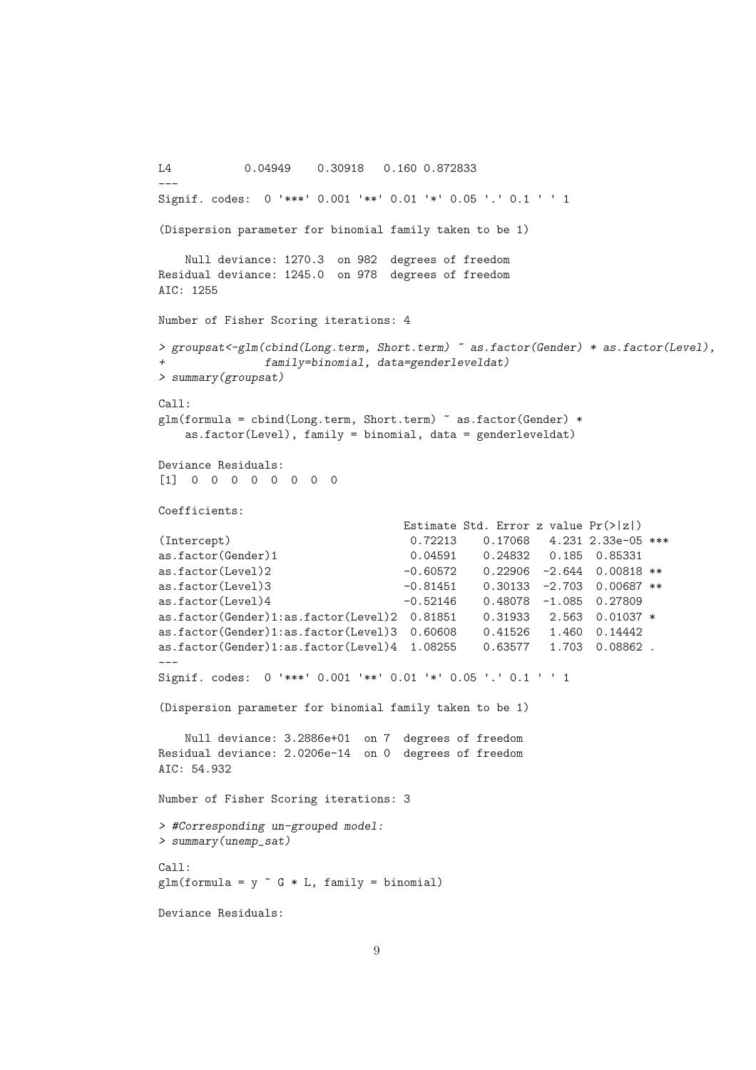```
L4 0.04949 0.30918 0.160 0.872833
---
Signif. codes: 0 '***' 0.001 '**' 0.01 '*' 0.05 '.' 0.1 ' ' 1
(Dispersion parameter for binomial family taken to be 1)
   Null deviance: 1270.3 on 982 degrees of freedom
Residual deviance: 1245.0 on 978 degrees of freedom
AIC: 1255
Number of Fisher Scoring iterations: 4
> groupsat<-glm(cbind(Long.term, Short.term) ~ as.factor(Gender) * as.factor(Level),
              + family=binomial, data=genderleveldat)
> summary(groupsat)
Call:
glm(formula = cbind(Long.term, Short.term) ~ as.factor(Gender) *
   as.factor(Level), family = binomial, data = genderleveldat)
Deviance Residuals:
[1] 0 0 0 0 0 0 0 0
Coefficients:
                                 Estimate Std. Error z value Pr(>|z|)
(Intercept) 0.72213 0.17068 4.231 2.33e-05 ***
as.factor(Gender)1 0.04591 0.24832 0.185 0.85331
as.factor(Level)2 -0.60572 0.22906 -2.644 0.00818 **
as.factor(Level)3 -0.81451 0.30133 -2.703 0.00687 **
as.factor(Level)4 -0.52146 0.48078 -1.085 0.27809
as.factor(Gender)1:as.factor(Level)2 0.81851 0.31933 2.563 0.01037 *
as.factor(Gender)1:as.factor(Level)3 0.60608 0.41526 1.460 0.14442
as.factor(Gender)1:as.factor(Level)4 1.08255 0.63577 1.703 0.08862 .
---
Signif. codes: 0 '***' 0.001 '**' 0.01 '*' 0.05 '.' 0.1 ' ' 1
(Dispersion parameter for binomial family taken to be 1)
   Null deviance: 3.2886e+01 on 7 degrees of freedom
Residual deviance: 2.0206e-14 on 0 degrees of freedom
AIC: 54.932
Number of Fisher Scoring iterations: 3
> #Corresponding un-grouped model:
> summary(unemp_sat)
Call:
glm(formula = y \text{ }^{\sim} G * L, family = binomial)Deviance Residuals:
```

```
9
```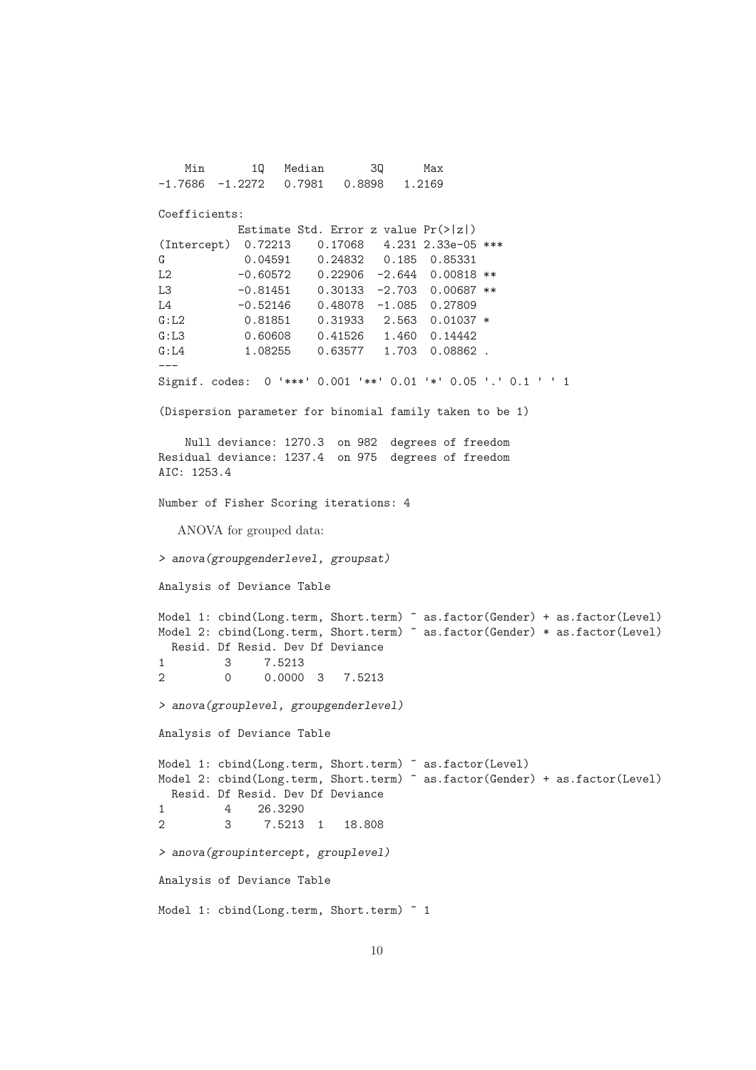Min 1Q Median 3Q Max -1.7686 -1.2272 0.7981 0.8898 1.2169 Coefficients: Estimate Std. Error z value Pr(>|z|) (Intercept) 0.72213 0.17068 4.231 2.33e-05 \*\*\* G 0.04591 0.24832 0.185 0.85331 L2  $-0.60572$  0.22906  $-2.644$  0.00818 \*\* L3  $-0.81451$  0.30133 -2.703 0.00687 \*\* L4 -0.52146 0.48078 -1.085 0.27809 G:L2 0.81851 0.31933 2.563 0.01037 \* G:L3 0.60608 0.41526 1.460 0.14442 G:L4 1.08255 0.63577 1.703 0.08862. --- Signif. codes: 0 '\*\*\*' 0.001 '\*\*' 0.01 '\*' 0.05 '.' 0.1 ' ' 1 (Dispersion parameter for binomial family taken to be 1) Null deviance: 1270.3 on 982 degrees of freedom Residual deviance: 1237.4 on 975 degrees of freedom AIC: 1253.4 Number of Fisher Scoring iterations: 4 ANOVA for grouped data: *> anova(groupgenderlevel, groupsat)* Analysis of Deviance Table Model 1: cbind(Long.term, Short.term) ~ as.factor(Gender) + as.factor(Level) Model 2: cbind(Long.term, Short.term) ~ as.factor(Gender) \* as.factor(Level) Resid. Df Resid. Dev Df Deviance 1 3 7.5213 2 0 0.0000 3 7.5213 *> anova(grouplevel, groupgenderlevel)* Analysis of Deviance Table Model 1: cbind(Long.term, Short.term) ~ as.factor(Level) Model 2: cbind(Long.term, Short.term) ~ as.factor(Gender) + as.factor(Level) Resid. Df Resid. Dev Df Deviance 1 4 26.3290 2 3 7.5213 1 18.808 *> anova(groupintercept, grouplevel)* Analysis of Deviance Table Model 1: cbind(Long.term, Short.term) ~ 1